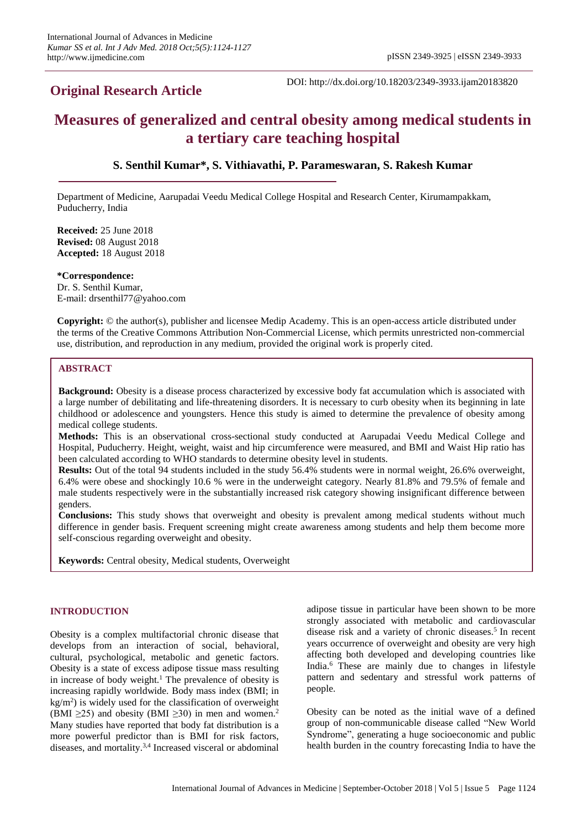# **Original Research Article**

DOI: http://dx.doi.org/10.18203/2349-3933.ijam20183820

# **Measures of generalized and central obesity among medical students in a tertiary care teaching hospital**

# **S. Senthil Kumar\*, S. Vithiavathi, P. Parameswaran, S. Rakesh Kumar**

Department of Medicine, Aarupadai Veedu Medical College Hospital and Research Center, Kirumampakkam, Puducherry, India

**Received:** 25 June 2018 **Revised:** 08 August 2018 **Accepted:** 18 August 2018

**\*Correspondence:** Dr. S. Senthil Kumar, E-mail: drsenthil77@yahoo.com

**Copyright:** © the author(s), publisher and licensee Medip Academy. This is an open-access article distributed under the terms of the Creative Commons Attribution Non-Commercial License, which permits unrestricted non-commercial use, distribution, and reproduction in any medium, provided the original work is properly cited.

# **ABSTRACT**

**Background:** Obesity is a disease process characterized by excessive body fat accumulation which is associated with a large number of debilitating and life-threatening disorders. It is necessary to curb obesity when its beginning in late childhood or adolescence and youngsters. Hence this study is aimed to determine the prevalence of obesity among medical college students.

**Methods:** This is an observational cross-sectional study conducted at Aarupadai Veedu Medical College and Hospital, Puducherry. Height, weight, waist and hip circumference were measured, and BMI and Waist Hip ratio has been calculated according to WHO standards to determine obesity level in students.

**Results:** Out of the total 94 students included in the study 56.4% students were in normal weight, 26.6% overweight, 6.4% were obese and shockingly 10.6 % were in the underweight category. Nearly 81.8% and 79.5% of female and male students respectively were in the substantially increased risk category showing insignificant difference between genders.

**Conclusions:** This study shows that overweight and obesity is prevalent among medical students without much difference in gender basis. Frequent screening might create awareness among students and help them become more self-conscious regarding overweight and obesity.

**Keywords:** Central obesity, Medical students, Overweight

## **INTRODUCTION**

Obesity is a complex multifactorial chronic disease that develops from an interaction of social, behavioral, cultural, psychological, metabolic and genetic factors. Obesity is a state of excess adipose tissue mass resulting in increase of body weight. <sup>1</sup> The prevalence of obesity is increasing rapidly worldwide. Body mass index (BMI; in kg/m<sup>2</sup>) is widely used for the classification of overweight (BMI  $\geq$ 25) and obesity (BMI  $\geq$ 30) in men and women.<sup>2</sup> Many studies have reported that body fat distribution is a more powerful predictor than is BMI for risk factors, diseases, and mortality.<sup>3,4</sup> Increased visceral or abdominal

adipose tissue in particular have been shown to be more strongly associated with metabolic and cardiovascular disease risk and a variety of chronic diseases. 5 In recent years occurrence of overweight and obesity are very high affecting both developed and developing countries like India. <sup>6</sup> These are mainly due to changes in lifestyle pattern and sedentary and stressful work patterns of people.

Obesity can be noted as the initial wave of a defined group of non-communicable disease called "New World Syndrome", generating a huge socioeconomic and public health burden in the country forecasting India to have the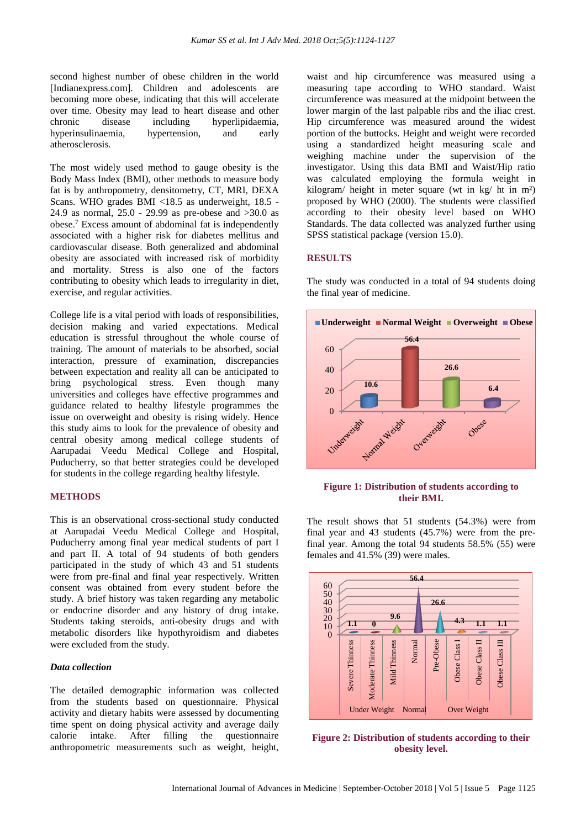second highest number of obese children in the world [Indianexpress.com]. Children and adolescents are becoming more obese, indicating that this will accelerate over time. Obesity may lead to heart disease and other chronic disease including hyperlipidaemia, hyperinsulinaemia, hypertension, and early atherosclerosis.

The most widely used method to gauge obesity is the Body Mass Index (BMI), other methods to measure body fat is by anthropometry, densitometry, CT, MRI, DEXA Scans. WHO grades BMI <18.5 as underweight, 18.5 - 24.9 as normal, 25.0 - 29.99 as pre-obese and >30.0 as obese. <sup>7</sup> Excess amount of abdominal fat is independently associated with a higher risk for diabetes mellitus and cardiovascular disease. Both generalized and abdominal obesity are associated with increased risk of morbidity and mortality. Stress is also one of the factors contributing to obesity which leads to irregularity in diet, exercise, and regular activities.

College life is a vital period with loads of responsibilities, decision making and varied expectations. Medical education is stressful throughout the whole course of training. The amount of materials to be absorbed, social interaction, pressure of examination, discrepancies between expectation and reality all can be anticipated to bring psychological stress. Even though many universities and colleges have effective programmes and guidance related to healthy lifestyle programmes the issue on overweight and obesity is rising widely. Hence this study aims to look for the prevalence of obesity and central obesity among medical college students of Aarupadai Veedu Medical College and Hospital, Puducherry, so that better strategies could be developed for students in the college regarding healthy lifestyle.

#### **METHODS**

This is an observational cross-sectional study conducted at Aarupadai Veedu Medical College and Hospital, Puducherry among final year medical students of part I and part II. A total of 94 students of both genders participated in the study of which 43 and 51 students were from pre-final and final year respectively. Written consent was obtained from every student before the study. A brief history was taken regarding any metabolic or endocrine disorder and any history of drug intake. Students taking steroids, anti-obesity drugs and with metabolic disorders like hypothyroidism and diabetes were excluded from the study.

#### *Data collection*

The detailed demographic information was collected from the students based on questionnaire. Physical activity and dietary habits were assessed by documenting time spent on doing physical activity and average daily calorie intake. After filling the questionnaire anthropometric measurements such as weight, height, waist and hip circumference was measured using a measuring tape according to WHO standard. Waist circumference was measured at the midpoint between the lower margin of the last palpable ribs and the iliac crest. Hip circumference was measured around the widest portion of the buttocks. Height and weight were recorded using a standardized height measuring scale and weighing machine under the supervision of the investigator. Using this data BMI and Waist/Hip ratio was calculated employing the formula weight in kilogram/ height in meter square (wt in kg/ ht in m²) proposed by WHO (2000). The students were classified according to their obesity level based on WHO Standards. The data collected was analyzed further using SPSS statistical package (version 15.0).

#### **RESULTS**

The study was conducted in a total of 94 students doing the final year of medicine.



#### **Figure 1: Distribution of students according to their BMI.**

The result shows that 51 students (54.3%) were from final year and 43 students (45.7%) were from the prefinal year. Among the total 94 students 58.5% (55) were females and 41.5% (39) were males.



**Figure 2: Distribution of students according to their obesity level.**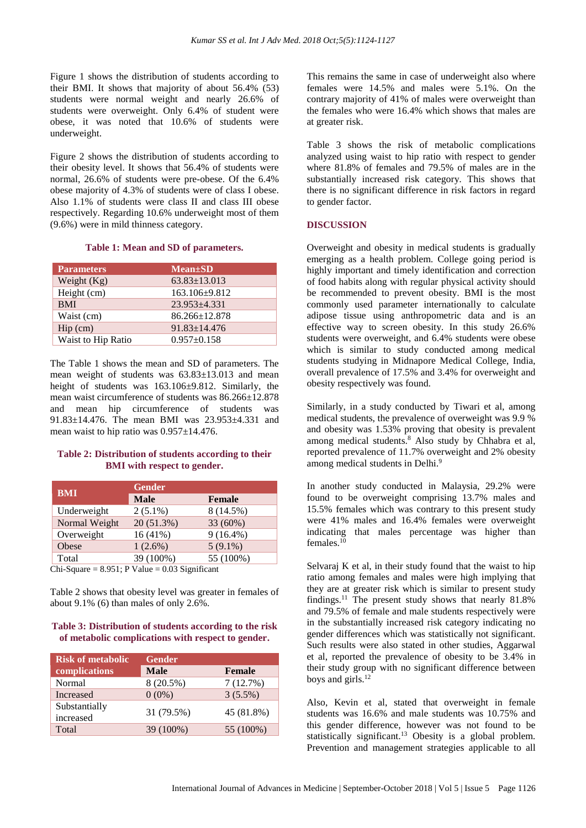Figure 1 shows the distribution of students according to their BMI. It shows that majority of about 56.4% (53) students were normal weight and nearly 26.6% of students were overweight. Only 6.4% of student were obese, it was noted that 10.6% of students were underweight.

Figure 2 shows the distribution of students according to their obesity level. It shows that 56.4% of students were normal, 26.6% of students were pre-obese. Of the 6.4% obese majority of 4.3% of students were of class I obese. Also 1.1% of students were class II and class III obese respectively. Regarding 10.6% underweight most of them (9.6%) were in mild thinness category.

#### **Table 1: Mean and SD of parameters.**

| <b>Parameters</b>                  | <b>Mean</b> ±SD     |
|------------------------------------|---------------------|
| Weight $(Kg)$                      | $63.83 \pm 13.013$  |
| Height (cm)                        | 163.106±9.812       |
| <b>BMI</b>                         | $23.953\pm4.331$    |
| Waist (cm)                         | $86.266 \pm 12.878$ |
| $\text{Hip}\left(\text{cm}\right)$ | $91.83 \pm 14.476$  |
| Waist to Hip Ratio                 | $0.957 \pm 0.158$   |

The Table 1 shows the mean and SD of parameters. The mean weight of students was 63.83±13.013 and mean height of students was  $163.106\pm9.812$ . Similarly, the mean waist circumference of students was 86.266±12.878 and mean hip circumference of students was 91.83±14.476. The mean BMI was 23.953±4.331 and mean waist to hip ratio was 0.957±14.476.

#### **Table 2: Distribution of students according to their BMI with respect to gender.**

| <b>BMI</b>    | <b>Gender</b> |               |  |
|---------------|---------------|---------------|--|
|               | <b>Male</b>   | <b>Female</b> |  |
| Underweight   | $2(5.1\%)$    | 8 (14.5%)     |  |
| Normal Weight | 20 (51.3%)    | 33 (60%)      |  |
| Overweight    | $16(41\%)$    | $9(16.4\%)$   |  |
| Obese         | $1(2.6\%)$    | $5(9.1\%)$    |  |
| Total         | 39 (100%)     | 55 (100%)     |  |

 $Chi-Square = 8.951$ ; P Value = 0.03 Significant

Table 2 shows that obesity level was greater in females of about 9.1% (6) than males of only 2.6%.

#### **Table 3: Distribution of students according to the risk of metabolic complications with respect to gender.**

| <b>Risk of metabolic</b>   | <b>Gender</b> |               |  |
|----------------------------|---------------|---------------|--|
| complications              | <b>Male</b>   | <b>Female</b> |  |
| Normal                     | 8 (20.5%)     | 7(12.7%)      |  |
| Increased                  | $0(0\%)$      | $3(5.5\%)$    |  |
| Substantially<br>increased | 31 (79.5%)    | 45 (81.8%)    |  |
| Total                      | 39 (100%)     | 55 (100%)     |  |

This remains the same in case of underweight also where females were 14.5% and males were 5.1%. On the contrary majority of 41% of males were overweight than the females who were 16.4% which shows that males are at greater risk.

Table 3 shows the risk of metabolic complications analyzed using waist to hip ratio with respect to gender where 81.8% of females and 79.5% of males are in the substantially increased risk category. This shows that there is no significant difference in risk factors in regard to gender factor.

#### **DISCUSSION**

Overweight and obesity in medical students is gradually emerging as a health problem. College going period is highly important and timely identification and correction of food habits along with regular physical activity should be recommended to prevent obesity. BMI is the most commonly used parameter internationally to calculate adipose tissue using anthropometric data and is an effective way to screen obesity. In this study 26.6% students were overweight, and 6.4% students were obese which is similar to study conducted among medical students studying in Midnapore Medical College, India, overall prevalence of 17.5% and 3.4% for overweight and obesity respectively was found.

Similarly, in a study conducted by Tiwari et al, among medical students, the prevalence of overweight was 9.9 % and obesity was 1.53% proving that obesity is prevalent among medical students. <sup>8</sup> Also study by Chhabra et al, reported prevalence of 11.7% overweight and 2% obesity among medical students in Delhi.<sup>9</sup>

In another study conducted in Malaysia, 29.2% were found to be overweight comprising 13.7% males and 15.5% females which was contrary to this present study were 41% males and 16.4% females were overweight indicating that males percentage was higher than females. 10

Selvaraj K et al, in their study found that the waist to hip ratio among females and males were high implying that they are at greater risk which is similar to present study findings.<sup>11</sup> The present study shows that nearly 81.8% and 79.5% of female and male students respectively were in the substantially increased risk category indicating no gender differences which was statistically not significant. Such results were also stated in other studies, Aggarwal et al, reported the prevalence of obesity to be 3.4% in their study group with no significant difference between boys and girls. 12

Also, Kevin et al, stated that overweight in female students was 16.6% and male students was 10.75% and this gender difference, however was not found to be statistically significant. <sup>13</sup> Obesity is a global problem. Prevention and management strategies applicable to all